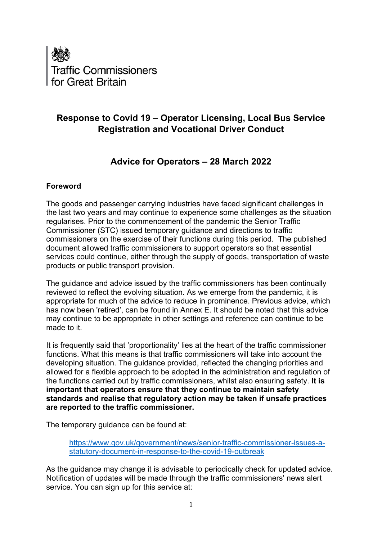

# **Response to Covid 19 – Operator Licensing, Local Bus Service Registration and Vocational Driver Conduct**

# **Advice for Operators – 28 March 2022**

### **Foreword**

The goods and passenger carrying industries have faced significant challenges in the last two years and may continue to experience some challenges as the situation regularises. Prior to the commencement of the pandemic the Senior Traffic Commissioner (STC) issued temporary guidance and directions to traffic commissioners on the exercise of their functions during this period. The published document allowed traffic commissioners to support operators so that essential services could continue, either through the supply of goods, transportation of waste products or public transport provision.

The guidance and advice issued by the traffic commissioners has been continually reviewed to reflect the evolving situation. As we emerge from the pandemic, it is appropriate for much of the advice to reduce in prominence. Previous advice, which has now been 'retired', can be found in Annex E. It should be noted that this advice may continue to be appropriate in other settings and reference can continue to be made to it.

It is frequently said that 'proportionality' lies at the heart of the traffic commissioner functions. What this means is that traffic commissioners will take into account the developing situation. The guidance provided, reflected the changing priorities and allowed for a flexible approach to be adopted in the administration and regulation of the functions carried out by traffic commissioners, whilst also ensuring safety. **It is important that operators ensure that they continue to maintain safety standards and realise that regulatory action may be taken if unsafe practices are reported to the traffic commissioner.** 

The temporary guidance can be found at:

[https://www.gov.uk/government/news/senior-traffic-commissioner-issues-a](https://www.gov.uk/government/news/senior-traffic-commissioner-issues-a-statutory-document-in-response-to-the-covid-19-outbreak)[statutory-document-in-response-to-the-covid-19-outbreak](https://www.gov.uk/government/news/senior-traffic-commissioner-issues-a-statutory-document-in-response-to-the-covid-19-outbreak)

As the guidance may change it is advisable to periodically check for updated advice. Notification of updates will be made through the traffic commissioners' news alert service. You can sign up for this service at: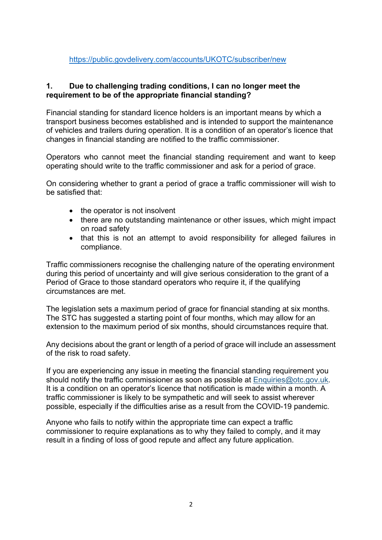#### <https://public.govdelivery.com/accounts/UKOTC/subscriber/new>

#### **1. Due to challenging trading conditions, I can no longer meet the requirement to be of the appropriate financial standing?**

Financial standing for standard licence holders is an important means by which a transport business becomes established and is intended to support the maintenance of vehicles and trailers during operation. It is a condition of an operator's licence that changes in financial standing are notified to the traffic commissioner.

Operators who cannot meet the financial standing requirement and want to keep operating should write to the traffic commissioner and ask for a period of grace.

On considering whether to grant a period of grace a traffic commissioner will wish to be satisfied that:

- the operator is not insolvent
- there are no outstanding maintenance or other issues, which might impact on road safety
- that this is not an attempt to avoid responsibility for alleged failures in compliance.

Traffic commissioners recognise the challenging nature of the operating environment during this period of uncertainty and will give serious consideration to the grant of a Period of Grace to those standard operators who require it, if the qualifying circumstances are met.

The legislation sets a maximum period of grace for financial standing at six months. The STC has suggested a starting point of four months, which may allow for an extension to the maximum period of six months, should circumstances require that.

Any decisions about the grant or length of a period of grace will include an assessment of the risk to road safety.

If you are experiencing any issue in meeting the financial standing requirement you should notify the traffic commissioner as soon as possible at [Enquiries@otc.gov.uk.](mailto:Enquiries@otc.gov.uk) It is a condition on an operator's licence that notification is made within a month. A traffic commissioner is likely to be sympathetic and will seek to assist wherever possible, especially if the difficulties arise as a result from the COVID-19 pandemic.

Anyone who fails to notify within the appropriate time can expect a traffic commissioner to require explanations as to why they failed to comply, and it may result in a finding of loss of good repute and affect any future application.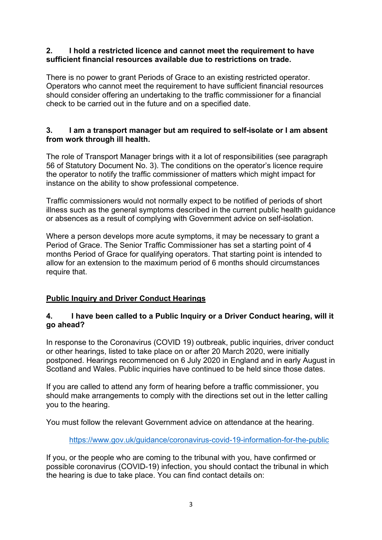#### **2. I hold a restricted licence and cannot meet the requirement to have sufficient financial resources available due to restrictions on trade.**

There is no power to grant Periods of Grace to an existing restricted operator. Operators who cannot meet the requirement to have sufficient financial resources should consider offering an undertaking to the traffic commissioner for a financial check to be carried out in the future and on a specified date.

### **3. I am a transport manager but am required to self-isolate or I am absent from work through ill health.**

The role of Transport Manager brings with it a lot of responsibilities (see paragraph 56 of Statutory Document No. 3). The conditions on the operator's licence require the operator to notify the traffic commissioner of matters which might impact for instance on the ability to show professional competence.

Traffic commissioners would not normally expect to be notified of periods of short illness such as the general symptoms described in the current public health guidance or absences as a result of complying with Government advice on self-isolation.

Where a person develops more acute symptoms, it may be necessary to grant a Period of Grace. The Senior Traffic Commissioner has set a starting point of 4 months Period of Grace for qualifying operators. That starting point is intended to allow for an extension to the maximum period of 6 months should circumstances require that.

### **Public Inquiry and Driver Conduct Hearings**

### **4. I have been called to a Public Inquiry or a Driver Conduct hearing, will it go ahead?**

In response to the Coronavirus (COVID 19) outbreak, public inquiries, driver conduct or other hearings, listed to take place on or after 20 March 2020, were initially postponed. Hearings recommenced on 6 July 2020 in England and in early August in Scotland and Wales. Public inquiries have continued to be held since those dates.

If you are called to attend any form of hearing before a traffic commissioner, you should make arrangements to comply with the directions set out in the letter calling you to the hearing.

You must follow the relevant Government advice on attendance at the hearing.

### <https://www.gov.uk/guidance/coronavirus-covid-19-information-for-the-public>

If you, or the people who are coming to the tribunal with you, have confirmed or possible coronavirus (COVID-19) infection, you should contact the tribunal in which the hearing is due to take place. You can find contact details on: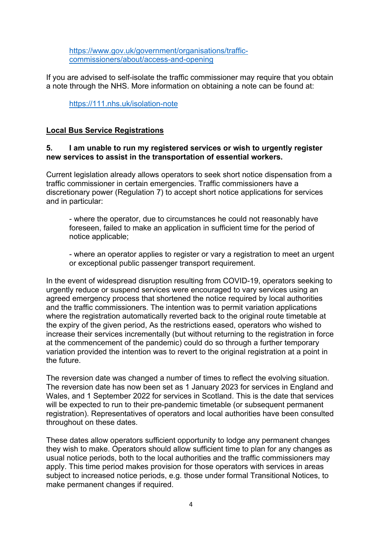[https://www.gov.uk/government/organisations/traffic](https://www.gov.uk/government/organisations/traffic-commissioners/about/access-and-opening)[commissioners/about/access-and-opening](https://www.gov.uk/government/organisations/traffic-commissioners/about/access-and-opening)

If you are advised to self-isolate the traffic commissioner may require that you obtain a note through the NHS. More information on obtaining a note can be found at:

<https://111.nhs.uk/isolation-note>

### **Local Bus Service Registrations**

### **5. I am unable to run my registered services or wish to urgently register new services to assist in the transportation of essential workers.**

Current legislation already allows operators to seek short notice dispensation from a traffic commissioner in certain emergencies. Traffic commissioners have a discretionary power (Regulation 7) to accept short notice applications for services and in particular:

- where the operator, due to circumstances he could not reasonably have foreseen, failed to make an application in sufficient time for the period of notice applicable;

- where an operator applies to register or vary a registration to meet an urgent or exceptional public passenger transport requirement.

In the event of widespread disruption resulting from COVID-19, operators seeking to urgently reduce or suspend services were encouraged to vary services using an agreed emergency process that shortened the notice required by local authorities and the traffic commissioners. The intention was to permit variation applications where the registration automatically reverted back to the original route timetable at the expiry of the given period, As the restrictions eased, operators who wished to increase their services incrementally (but without returning to the registration in force at the commencement of the pandemic) could do so through a further temporary variation provided the intention was to revert to the original registration at a point in the future.

The reversion date was changed a number of times to reflect the evolving situation. The reversion date has now been set as 1 January 2023 for services in England and Wales, and 1 September 2022 for services in Scotland. This is the date that services will be expected to run to their pre-pandemic timetable (or subsequent permanent registration). Representatives of operators and local authorities have been consulted throughout on these dates.

These dates allow operators sufficient opportunity to lodge any permanent changes they wish to make. Operators should allow sufficient time to plan for any changes as usual notice periods, both to the local authorities and the traffic commissioners may apply. This time period makes provision for those operators with services in areas subject to increased notice periods, e.g. those under formal Transitional Notices, to make permanent changes if required.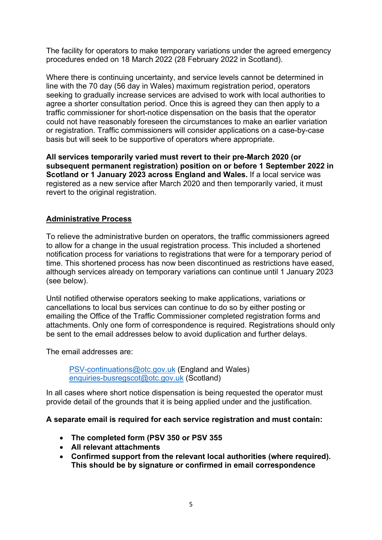The facility for operators to make temporary variations under the agreed emergency procedures ended on 18 March 2022 (28 February 2022 in Scotland).

Where there is continuing uncertainty, and service levels cannot be determined in line with the 70 day (56 day in Wales) maximum registration period, operators seeking to gradually increase services are advised to work with local authorities to agree a shorter consultation period. Once this is agreed they can then apply to a traffic commissioner for short-notice dispensation on the basis that the operator could not have reasonably foreseen the circumstances to make an earlier variation or registration. Traffic commissioners will consider applications on a case-by-case basis but will seek to be supportive of operators where appropriate.

**All services temporarily varied must revert to their pre-March 2020 (or subsequent permanent registration) position on or before 1 September 2022 in Scotland or 1 January 2023 across England and Wales.** If a local service was registered as a new service after March 2020 and then temporarily varied, it must revert to the original registration.

### **Administrative Process**

To relieve the administrative burden on operators, the traffic commissioners agreed to allow for a change in the usual registration process. This included a shortened notification process for variations to registrations that were for a temporary period of time. This shortened process has now been discontinued as restrictions have eased, although services already on temporary variations can continue until 1 January 2023 (see below).

Until notified otherwise operators seeking to make applications, variations or cancellations to local bus services can continue to do so by either posting or emailing the Office of the Traffic Commissioner completed registration forms and attachments. Only one form of correspondence is required. Registrations should only be sent to the email addresses below to avoid duplication and further delays.

The email addresses are:

[PSV-continuations@otc.gov.uk](mailto:PSV-continuations@otc.gov.uk) (England and Wales) [enquiries-busregscot@otc.gov.uk](mailto:enquiries-busregscot@otc.gov.uk) (Scotland)

In all cases where short notice dispensation is being requested the operator must provide detail of the grounds that it is being applied under and the justification.

#### **A separate email is required for each service registration and must contain:**

- **The completed form (PSV 350 or PSV 355**
- **All relevant attachments**
- **Confirmed support from the relevant local authorities (where required). This should be by signature or confirmed in email correspondence**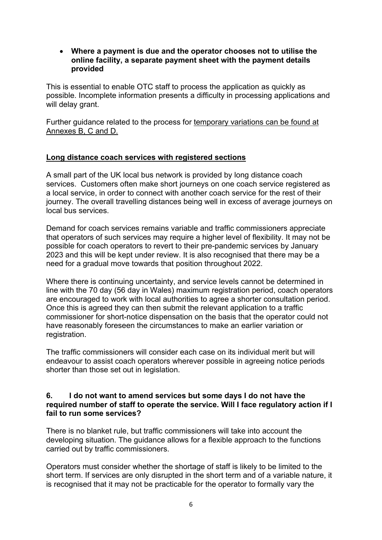• **Where a payment is due and the operator chooses not to utilise the online facility, a separate payment sheet with the payment details provided**

This is essential to enable OTC staff to process the application as quickly as possible. Incomplete information presents a difficulty in processing applications and will delay grant.

Further guidance related to the process for temporary variations can be found at Annexes B, C and D.

### **Long distance coach services with registered sections**

A small part of the UK local bus network is provided by long distance coach services. Customers often make short journeys on one coach service registered as a local service, in order to connect with another coach service for the rest of their journey. The overall travelling distances being well in excess of average journeys on local bus services.

Demand for coach services remains variable and traffic commissioners appreciate that operators of such services may require a higher level of flexibility. It may not be possible for coach operators to revert to their pre-pandemic services by January 2023 and this will be kept under review. It is also recognised that there may be a need for a gradual move towards that position throughout 2022.

Where there is continuing uncertainty, and service levels cannot be determined in line with the 70 day (56 day in Wales) maximum registration period, coach operators are encouraged to work with local authorities to agree a shorter consultation period. Once this is agreed they can then submit the relevant application to a traffic commissioner for short-notice dispensation on the basis that the operator could not have reasonably foreseen the circumstances to make an earlier variation or registration.

The traffic commissioners will consider each case on its individual merit but will endeavour to assist coach operators wherever possible in agreeing notice periods shorter than those set out in legislation.

#### **6. I do not want to amend services but some days I do not have the required number of staff to operate the service. Will I face regulatory action if I fail to run some services?**

There is no blanket rule, but traffic commissioners will take into account the developing situation. The guidance allows for a flexible approach to the functions carried out by traffic commissioners.

Operators must consider whether the shortage of staff is likely to be limited to the short term. If services are only disrupted in the short term and of a variable nature, it is recognised that it may not be practicable for the operator to formally vary the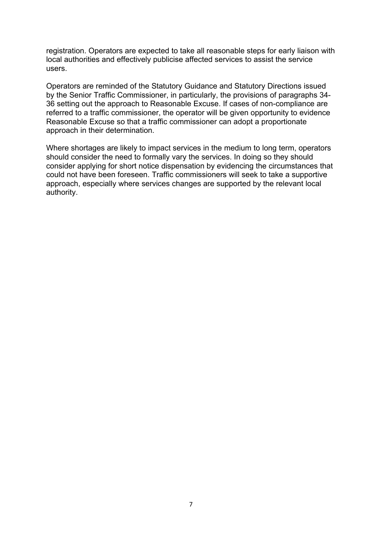registration. Operators are expected to take all reasonable steps for early liaison with local authorities and effectively publicise affected services to assist the service users.

Operators are reminded of the Statutory Guidance and Statutory Directions issued by the Senior Traffic Commissioner, in particularly, the provisions of paragraphs 34- 36 setting out the approach to Reasonable Excuse. If cases of non-compliance are referred to a traffic commissioner, the operator will be given opportunity to evidence Reasonable Excuse so that a traffic commissioner can adopt a proportionate approach in their determination.

Where shortages are likely to impact services in the medium to long term, operators should consider the need to formally vary the services. In doing so they should consider applying for short notice dispensation by evidencing the circumstances that could not have been foreseen. Traffic commissioners will seek to take a supportive approach, especially where services changes are supported by the relevant local authority.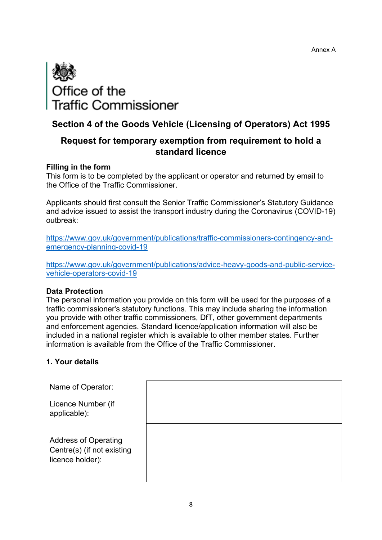

# **Section 4 of the Goods Vehicle (Licensing of Operators) Act 1995**

# **Request for temporary exemption from requirement to hold a standard licence**

#### **Filling in the form**

This form is to be completed by the applicant or operator and returned by email to the Office of the Traffic Commissioner.

Applicants should first consult the Senior Traffic Commissioner's Statutory Guidance and advice issued to assist the transport industry during the Coronavirus (COVID-19) outbreak:

[https://www.gov.uk/government/publications/traffic-commissioners-contingency-and](https://www.gov.uk/government/publications/traffic-commissioners-contingency-and-emergency-planning-covid-19)[emergency-planning-covid-19](https://www.gov.uk/government/publications/traffic-commissioners-contingency-and-emergency-planning-covid-19)

[https://www.gov.uk/government/publications/advice-heavy-goods-and-public-service](https://www.gov.uk/government/publications/advice-heavy-goods-and-public-service-vehicle-operators-covid-19)[vehicle-operators-covid-19](https://www.gov.uk/government/publications/advice-heavy-goods-and-public-service-vehicle-operators-covid-19) 

#### **Data Protection**

The personal information you provide on this form will be used for the purposes of a traffic commissioner's statutory functions. This may include sharing the information you provide with other traffic commissioners, DfT, other government departments and enforcement agencies. Standard licence/application information will also be included in a national register which is available to other member states. Further information is available from the Office of the Traffic Commissioner.

#### **1. Your details**

| Name of Operator:                                                             |  |
|-------------------------------------------------------------------------------|--|
| Licence Number (if<br>applicable):                                            |  |
| <b>Address of Operating</b><br>Centre(s) (if not existing<br>licence holder): |  |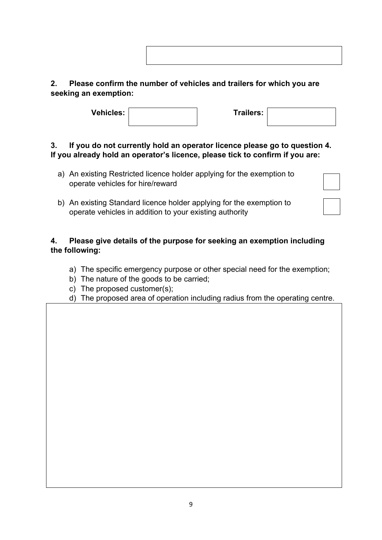# **2. Please confirm the number of vehicles and trailers for which you are seeking an exemption:**

| <b>Vehicles:</b> | Trailers: |  |
|------------------|-----------|--|
|                  |           |  |

# **3. If you do not currently hold an operator licence please go to question 4. If you already hold an operator's licence, please tick to confirm if you are:**

- a) An existing Restricted licence holder applying for the exemption to operate vehicles for hire/reward
- b) An existing Standard licence holder applying for the exemption to operate vehicles in addition to your existing authority

# **4. Please give details of the purpose for seeking an exemption including the following:**

- a) The specific emergency purpose or other special need for the exemption;
- b) The nature of the goods to be carried;
- c) The proposed customer(s);
- d) The proposed area of operation including radius from the operating centre.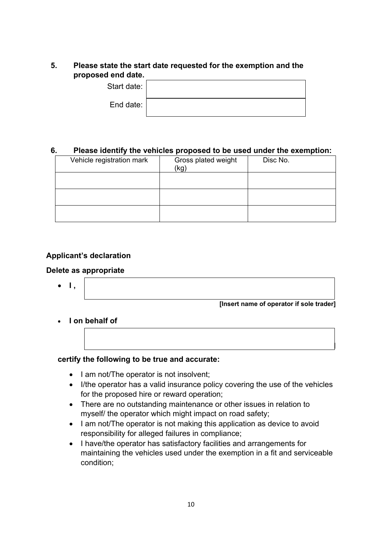### **5. Please state the start date requested for the exemption and the proposed end date.**

| 1 VIIV VULVI |  |
|--------------|--|
| Start date:  |  |
| End date:    |  |

#### **6. Please identify the vehicles proposed to be used under the exemption:**

| Vehicle registration mark | Gross plated weight<br>(kg) | Disc No. |
|---------------------------|-----------------------------|----------|
|                           |                             |          |
|                           |                             |          |
|                           |                             |          |

### **Applicant's declaration**

#### **Delete as appropriate**

• **I ,** 

**[Insert name of operator if sole trader]**

**[Insert name of operator]** 

• **I on behalf of** 

#### **certify the following to be true and accurate:**

- I am not/The operator is not insolvent;
- I/the operator has a valid insurance policy covering the use of the vehicles for the proposed hire or reward operation;
- There are no outstanding maintenance or other issues in relation to myself/ the operator which might impact on road safety;
- I am not/The operator is not making this application as device to avoid responsibility for alleged failures in compliance;
- I have/the operator has satisfactory facilities and arrangements for maintaining the vehicles used under the exemption in a fit and serviceable condition;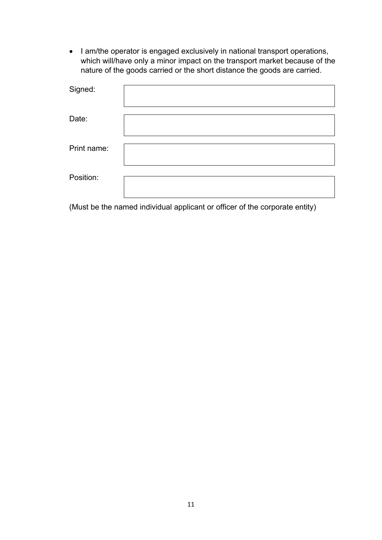• I am/the operator is engaged exclusively in national transport operations, which will/have only a minor impact on the transport market because of the nature of the goods carried or the short distance the goods are carried.

| Signed:     |  |
|-------------|--|
| Date:       |  |
| Print name: |  |
| Position:   |  |

(Must be the named individual applicant or officer of the corporate entity)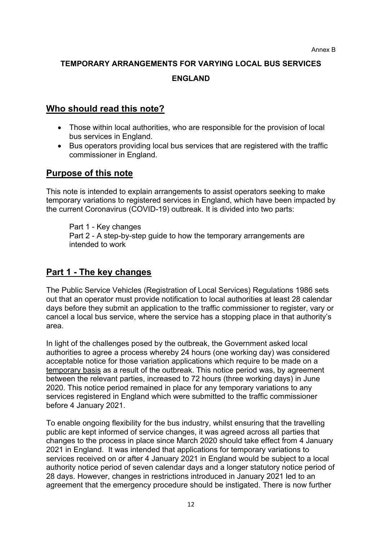# **TEMPORARY ARRANGEMENTS FOR VARYING LOCAL BUS SERVICES ENGLAND**

# **Who should read this note?**

- Those within local authorities, who are responsible for the provision of local bus services in England.
- Bus operators providing local bus services that are registered with the traffic commissioner in England.

# **Purpose of this note**

This note is intended to explain arrangements to assist operators seeking to make temporary variations to registered services in England, which have been impacted by the current Coronavirus (COVID-19) outbreak. It is divided into two parts:

Part 1 - Key changes Part 2 - A step-by-step guide to how the temporary arrangements are intended to work

# **Part 1 - The key changes**

The Public Service Vehicles (Registration of Local Services) Regulations 1986 sets out that an operator must provide notification to local authorities at least 28 calendar days before they submit an application to the traffic commissioner to register, vary or cancel a local bus service, where the service has a stopping place in that authority's area.

In light of the challenges posed by the outbreak, the Government asked local authorities to agree a process whereby 24 hours (one working day) was considered acceptable notice for those variation applications which require to be made on a temporary basis as a result of the outbreak. This notice period was, by agreement between the relevant parties, increased to 72 hours (three working days) in June 2020. This notice period remained in place for any temporary variations to any services registered in England which were submitted to the traffic commissioner before 4 January 2021.

To enable ongoing flexibility for the bus industry, whilst ensuring that the travelling public are kept informed of service changes, it was agreed across all parties that changes to the process in place since March 2020 should take effect from 4 January 2021 in England. It was intended that applications for temporary variations to services received on or after 4 January 2021 in England would be subject to a local authority notice period of seven calendar days and a longer statutory notice period of 28 days. However, changes in restrictions introduced in January 2021 led to an agreement that the emergency procedure should be instigated. There is now further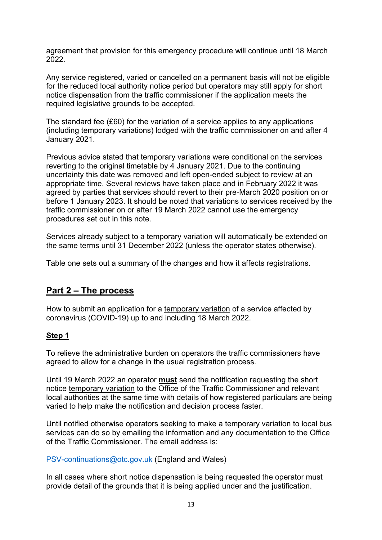agreement that provision for this emergency procedure will continue until 18 March 2022.

Any service registered, varied or cancelled on a permanent basis will not be eligible for the reduced local authority notice period but operators may still apply for short notice dispensation from the traffic commissioner if the application meets the required legislative grounds to be accepted.

The standard fee (£60) for the variation of a service applies to any applications (including temporary variations) lodged with the traffic commissioner on and after 4 January 2021.

Previous advice stated that temporary variations were conditional on the services reverting to the original timetable by 4 January 2021. Due to the continuing uncertainty this date was removed and left open-ended subject to review at an appropriate time. Several reviews have taken place and in February 2022 it was agreed by parties that services should revert to their pre-March 2020 position on or before 1 January 2023. It should be noted that variations to services received by the traffic commissioner on or after 19 March 2022 cannot use the emergency procedures set out in this note.

Services already subject to a temporary variation will automatically be extended on the same terms until 31 December 2022 (unless the operator states otherwise).

Table one sets out a summary of the changes and how it affects registrations.

# **Part 2 – The process**

How to submit an application for a temporary variation of a service affected by coronavirus (COVID-19) up to and including 18 March 2022.

### **Step 1**

To relieve the administrative burden on operators the traffic commissioners have agreed to allow for a change in the usual registration process.

Until 19 March 2022 an operator **must** send the notification requesting the short notice temporary variation to the Office of the Traffic Commissioner and relevant local authorities at the same time with details of how registered particulars are being varied to help make the notification and decision process faster.

Until notified otherwise operators seeking to make a temporary variation to local bus services can do so by emailing the information and any documentation to the Office of the Traffic Commissioner. The email address is:

[PSV-continuations@otc.gov.uk](mailto:PSV-continuations@otc.gov.uk) (England and Wales)

In all cases where short notice dispensation is being requested the operator must provide detail of the grounds that it is being applied under and the justification.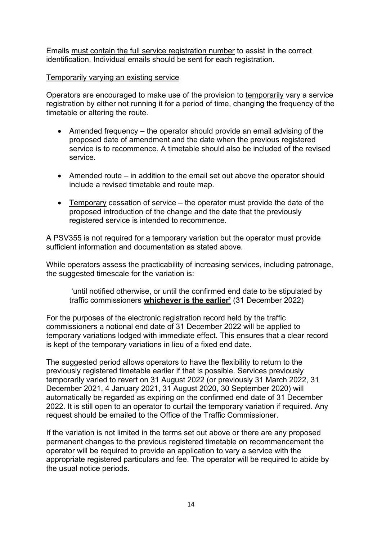Emails must contain the full service registration number to assist in the correct identification. Individual emails should be sent for each registration.

#### Temporarily varying an existing service

Operators are encouraged to make use of the provision to temporarily vary a service registration by either not running it for a period of time, changing the frequency of the timetable or altering the route.

- Amended frequency the operator should provide an email advising of the proposed date of amendment and the date when the previous registered service is to recommence. A timetable should also be included of the revised service.
- Amended route in addition to the email set out above the operator should include a revised timetable and route map.
- Temporary cessation of service the operator must provide the date of the proposed introduction of the change and the date that the previously registered service is intended to recommence.

A PSV355 is not required for a temporary variation but the operator must provide sufficient information and documentation as stated above.

While operators assess the practicability of increasing services, including patronage, the suggested timescale for the variation is:

'until notified otherwise, or until the confirmed end date to be stipulated by traffic commissioners **whichever is the earlier'** (31 December 2022)

For the purposes of the electronic registration record held by the traffic commissioners a notional end date of 31 December 2022 will be applied to temporary variations lodged with immediate effect. This ensures that a clear record is kept of the temporary variations in lieu of a fixed end date.

The suggested period allows operators to have the flexibility to return to the previously registered timetable earlier if that is possible. Services previously temporarily varied to revert on 31 August 2022 (or previously 31 March 2022, 31 December 2021, 4 January 2021, 31 August 2020, 30 September 2020) will automatically be regarded as expiring on the confirmed end date of 31 December 2022. It is still open to an operator to curtail the temporary variation if required. Any request should be emailed to the Office of the Traffic Commissioner.

If the variation is not limited in the terms set out above or there are any proposed permanent changes to the previous registered timetable on recommencement the operator will be required to provide an application to vary a service with the appropriate registered particulars and fee. The operator will be required to abide by the usual notice periods.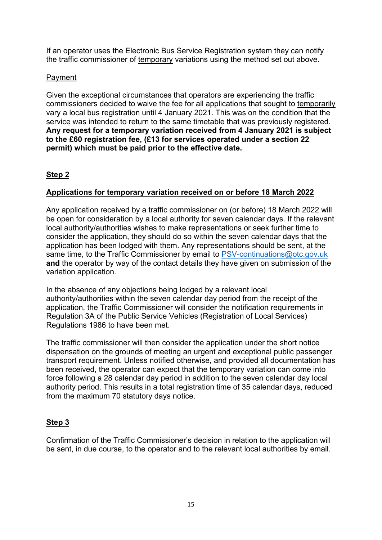If an operator uses the Electronic Bus Service Registration system they can notify the traffic commissioner of temporary variations using the method set out above.

### Payment

Given the exceptional circumstances that operators are experiencing the traffic commissioners decided to waive the fee for all applications that sought to temporarily vary a local bus registration until 4 January 2021. This was on the condition that the service was intended to return to the same timetable that was previously registered. **Any request for a temporary variation received from 4 January 2021 is subject to the £60 registration fee, (£13 for services operated under a section 22 permit) which must be paid prior to the effective date.** 

# **Step 2**

# **Applications for temporary variation received on or before 18 March 2022**

Any application received by a traffic commissioner on (or before) 18 March 2022 will be open for consideration by a local authority for seven calendar days. If the relevant local authority/authorities wishes to make representations or seek further time to consider the application, they should do so within the seven calendar days that the application has been lodged with them. Any representations should be sent, at the same time, to the Traffic Commissioner by email to [PSV-continuations@otc.gov.uk](mailto:PSV-continuations@otc.gov.uk) **and** the operator by way of the contact details they have given on submission of the variation application.

In the absence of any objections being lodged by a relevant local authority/authorities within the seven calendar day period from the receipt of the application, the Traffic Commissioner will consider the notification requirements in Regulation 3A of the Public Service Vehicles (Registration of Local Services) Regulations 1986 to have been met.

The traffic commissioner will then consider the application under the short notice dispensation on the grounds of meeting an urgent and exceptional public passenger transport requirement. Unless notified otherwise, and provided all documentation has been received, the operator can expect that the temporary variation can come into force following a 28 calendar day period in addition to the seven calendar day local authority period. This results in a total registration time of 35 calendar days, reduced from the maximum 70 statutory days notice.

# **Step 3**

Confirmation of the Traffic Commissioner's decision in relation to the application will be sent, in due course, to the operator and to the relevant local authorities by email.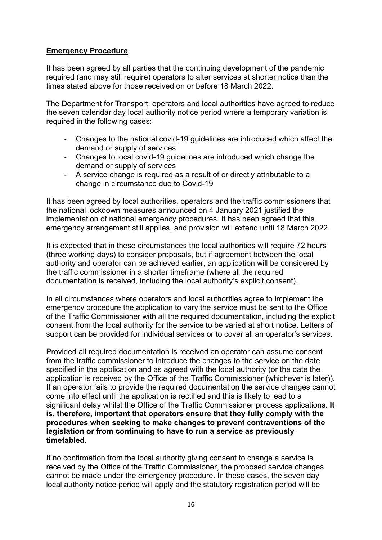### **Emergency Procedure**

It has been agreed by all parties that the continuing development of the pandemic required (and may still require) operators to alter services at shorter notice than the times stated above for those received on or before 18 March 2022.

The Department for Transport, operators and local authorities have agreed to reduce the seven calendar day local authority notice period where a temporary variation is required in the following cases:

- Changes to the national covid-19 guidelines are introduced which affect the demand or supply of services
- Changes to local covid-19 guidelines are introduced which change the demand or supply of services
- A service change is required as a result of or directly attributable to a change in circumstance due to Covid-19

It has been agreed by local authorities, operators and the traffic commissioners that the national lockdown measures announced on 4 January 2021 justified the implementation of national emergency procedures. It has been agreed that this emergency arrangement still applies, and provision will extend until 18 March 2022.

It is expected that in these circumstances the local authorities will require 72 hours (three working days) to consider proposals, but if agreement between the local authority and operator can be achieved earlier, an application will be considered by the traffic commissioner in a shorter timeframe (where all the required documentation is received, including the local authority's explicit consent).

In all circumstances where operators and local authorities agree to implement the emergency procedure the application to vary the service must be sent to the Office of the Traffic Commissioner with all the required documentation, including the explicit consent from the local authority for the service to be varied at short notice. Letters of support can be provided for individual services or to cover all an operator's services.

Provided all required documentation is received an operator can assume consent from the traffic commissioner to introduce the changes to the service on the date specified in the application and as agreed with the local authority (or the date the application is received by the Office of the Traffic Commissioner (whichever is later)). If an operator fails to provide the required documentation the service changes cannot come into effect until the application is rectified and this is likely to lead to a significant delay whilst the Office of the Traffic Commissioner process applications. **It is, therefore, important that operators ensure that they fully comply with the procedures when seeking to make changes to prevent contraventions of the legislation or from continuing to have to run a service as previously timetabled.** 

If no confirmation from the local authority giving consent to change a service is received by the Office of the Traffic Commissioner, the proposed service changes cannot be made under the emergency procedure. In these cases, the seven day local authority notice period will apply and the statutory registration period will be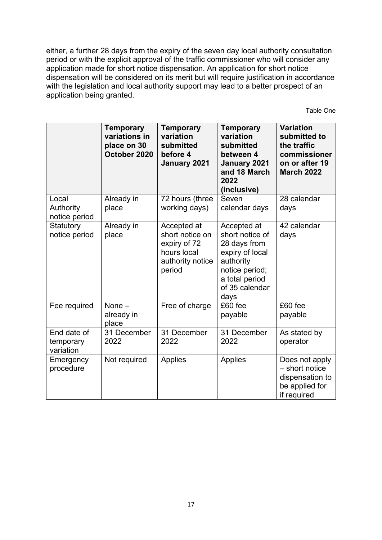either, a further 28 days from the expiry of the seven day local authority consultation period or with the explicit approval of the traffic commissioner who will consider any application made for short notice dispensation. An application for short notice dispensation will be considered on its merit but will require justification in accordance with the legislation and local authority support may lead to a better prospect of an application being granted.

Table One

|                                       | <b>Temporary</b><br>variations in<br>place on 30<br>October 2020 | <b>Temporary</b><br>variation<br>submitted<br>before 4<br>January 2021                      | <b>Temporary</b><br>variation<br>submitted<br>between 4<br>January 2021<br>and 18 March<br>2022<br>(inclusive)                               | <b>Variation</b><br>submitted to<br>the traffic<br>commissioner<br>on or after 19<br><b>March 2022</b> |
|---------------------------------------|------------------------------------------------------------------|---------------------------------------------------------------------------------------------|----------------------------------------------------------------------------------------------------------------------------------------------|--------------------------------------------------------------------------------------------------------|
| Local<br>Authority<br>notice period   | Already in<br>place                                              | 72 hours (three<br>working days)                                                            | Seven<br>calendar days                                                                                                                       | 28 calendar<br>days                                                                                    |
| Statutory<br>notice period            | Already in<br>place                                              | Accepted at<br>short notice on<br>expiry of 72<br>hours local<br>authority notice<br>period | Accepted at<br>short notice of<br>28 days from<br>expiry of local<br>authority<br>notice period;<br>a total period<br>of 35 calendar<br>days | 42 calendar<br>days                                                                                    |
| Fee required                          | None $-$<br>already in<br>place                                  | Free of charge                                                                              | £60 fee<br>payable                                                                                                                           | £60 fee<br>payable                                                                                     |
| End date of<br>temporary<br>variation | 31 December<br>2022                                              | 31 December<br>2022                                                                         | 31 December<br>2022                                                                                                                          | As stated by<br>operator                                                                               |
| Emergency<br>procedure                | Not required                                                     | Applies                                                                                     | Applies                                                                                                                                      | Does not apply<br>- short notice<br>dispensation to<br>be applied for<br>if required                   |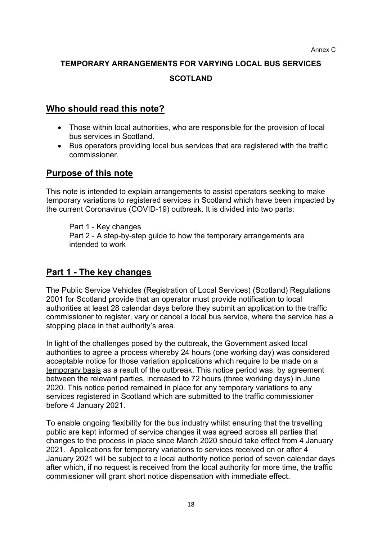# **TEMPORARY ARRANGEMENTS FOR VARYING LOCAL BUS SERVICES SCOTLAND**

# **Who should read this note?**

- Those within local authorities, who are responsible for the provision of local bus services in Scotland.
- Bus operators providing local bus services that are registered with the traffic commissioner.

# **Purpose of this note**

This note is intended to explain arrangements to assist operators seeking to make temporary variations to registered services in Scotland which have been impacted by the current Coronavirus (COVID-19) outbreak. It is divided into two parts:

Part 1 - Key changes Part 2 - A step-by-step guide to how the temporary arrangements are intended to work

# **Part 1 - The key changes**

The Public Service Vehicles (Registration of Local Services) (Scotland) Regulations 2001 for Scotland provide that an operator must provide notification to local authorities at least 28 calendar days before they submit an application to the traffic commissioner to register, vary or cancel a local bus service, where the service has a stopping place in that authority's area.

In light of the challenges posed by the outbreak, the Government asked local authorities to agree a process whereby 24 hours (one working day) was considered acceptable notice for those variation applications which require to be made on a temporary basis as a result of the outbreak. This notice period was, by agreement between the relevant parties, increased to 72 hours (three working days) in June 2020. This notice period remained in place for any temporary variations to any services registered in Scotland which are submitted to the traffic commissioner before 4 January 2021.

To enable ongoing flexibility for the bus industry whilst ensuring that the travelling public are kept informed of service changes it was agreed across all parties that changes to the process in place since March 2020 should take effect from 4 January 2021. Applications for temporary variations to services received on or after 4 January 2021 will be subject to a local authority notice period of seven calendar days after which, if no request is received from the local authority for more time, the traffic commissioner will grant short notice dispensation with immediate effect.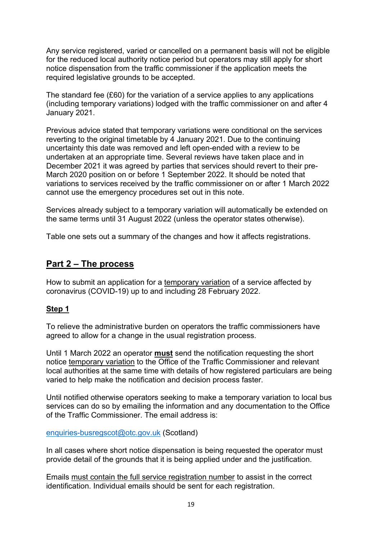Any service registered, varied or cancelled on a permanent basis will not be eligible for the reduced local authority notice period but operators may still apply for short notice dispensation from the traffic commissioner if the application meets the required legislative grounds to be accepted.

The standard fee (£60) for the variation of a service applies to any applications (including temporary variations) lodged with the traffic commissioner on and after 4 January 2021.

Previous advice stated that temporary variations were conditional on the services reverting to the original timetable by 4 January 2021. Due to the continuing uncertainty this date was removed and left open-ended with a review to be undertaken at an appropriate time. Several reviews have taken place and in December 2021 it was agreed by parties that services should revert to their pre-March 2020 position on or before 1 September 2022. It should be noted that variations to services received by the traffic commissioner on or after 1 March 2022 cannot use the emergency procedures set out in this note.

Services already subject to a temporary variation will automatically be extended on the same terms until 31 August 2022 (unless the operator states otherwise).

Table one sets out a summary of the changes and how it affects registrations.

# **Part 2 – The process**

How to submit an application for a temporary variation of a service affected by coronavirus (COVID-19) up to and including 28 February 2022.

#### **Step 1**

To relieve the administrative burden on operators the traffic commissioners have agreed to allow for a change in the usual registration process.

Until 1 March 2022 an operator **must** send the notification requesting the short notice temporary variation to the Office of the Traffic Commissioner and relevant local authorities at the same time with details of how registered particulars are being varied to help make the notification and decision process faster.

Until notified otherwise operators seeking to make a temporary variation to local bus services can do so by emailing the information and any documentation to the Office of the Traffic Commissioner. The email address is:

#### [enquiries-busregscot@otc.gov.uk](mailto:enquiries-busregscot@otc.gov.uk) (Scotland)

In all cases where short notice dispensation is being requested the operator must provide detail of the grounds that it is being applied under and the justification.

Emails must contain the full service registration number to assist in the correct identification. Individual emails should be sent for each registration.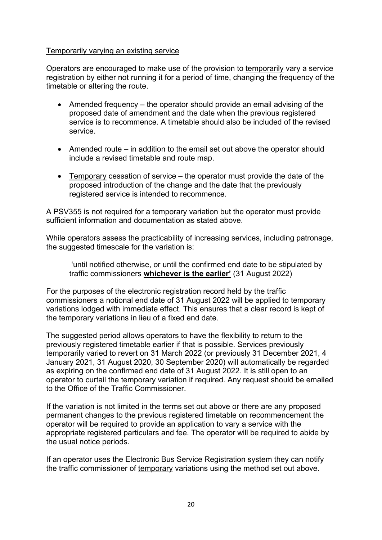#### Temporarily varying an existing service

Operators are encouraged to make use of the provision to temporarily vary a service registration by either not running it for a period of time, changing the frequency of the timetable or altering the route.

- Amended frequency the operator should provide an email advising of the proposed date of amendment and the date when the previous registered service is to recommence. A timetable should also be included of the revised service.
- Amended route in addition to the email set out above the operator should include a revised timetable and route map.
- Temporary cessation of service the operator must provide the date of the proposed introduction of the change and the date that the previously registered service is intended to recommence.

A PSV355 is not required for a temporary variation but the operator must provide sufficient information and documentation as stated above.

While operators assess the practicability of increasing services, including patronage, the suggested timescale for the variation is:

'until notified otherwise, or until the confirmed end date to be stipulated by traffic commissioners **whichever is the earlier'** (31 August 2022)

For the purposes of the electronic registration record held by the traffic commissioners a notional end date of 31 August 2022 will be applied to temporary variations lodged with immediate effect. This ensures that a clear record is kept of the temporary variations in lieu of a fixed end date.

The suggested period allows operators to have the flexibility to return to the previously registered timetable earlier if that is possible. Services previously temporarily varied to revert on 31 March 2022 (or previously 31 December 2021, 4 January 2021, 31 August 2020, 30 September 2020) will automatically be regarded as expiring on the confirmed end date of 31 August 2022. It is still open to an operator to curtail the temporary variation if required. Any request should be emailed to the Office of the Traffic Commissioner.

If the variation is not limited in the terms set out above or there are any proposed permanent changes to the previous registered timetable on recommencement the operator will be required to provide an application to vary a service with the appropriate registered particulars and fee. The operator will be required to abide by the usual notice periods.

If an operator uses the Electronic Bus Service Registration system they can notify the traffic commissioner of temporary variations using the method set out above.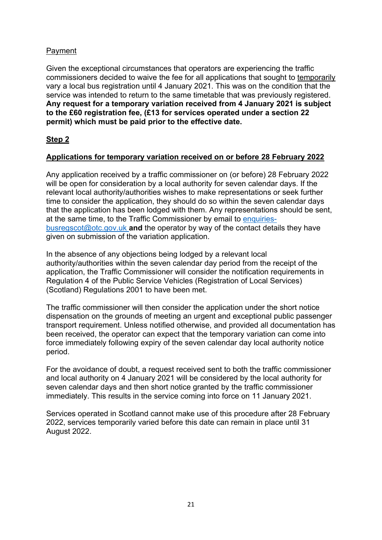# Payment

Given the exceptional circumstances that operators are experiencing the traffic commissioners decided to waive the fee for all applications that sought to temporarily vary a local bus registration until 4 January 2021. This was on the condition that the service was intended to return to the same timetable that was previously registered. **Any request for a temporary variation received from 4 January 2021 is subject to the £60 registration fee, (£13 for services operated under a section 22 permit) which must be paid prior to the effective date.**

# **Step 2**

# **Applications for temporary variation received on or before 28 February 2022**

Any application received by a traffic commissioner on (or before) 28 February 2022 will be open for consideration by a local authority for seven calendar days. If the relevant local authority/authorities wishes to make representations or seek further time to consider the application, they should do so within the seven calendar days that the application has been lodged with them. Any representations should be sent, at the same time, to the Traffic Commissioner by email to [enquiries](mailto:enquiries-busregscot@otc.gov.uk)[busregscot@otc.gov.uk](mailto:enquiries-busregscot@otc.gov.uk) **and** the operator by way of the contact details they have given on submission of the variation application.

In the absence of any objections being lodged by a relevant local authority/authorities within the seven calendar day period from the receipt of the application, the Traffic Commissioner will consider the notification requirements in Regulation 4 of the Public Service Vehicles (Registration of Local Services) (Scotland) Regulations 2001 to have been met.

The traffic commissioner will then consider the application under the short notice dispensation on the grounds of meeting an urgent and exceptional public passenger transport requirement. Unless notified otherwise, and provided all documentation has been received, the operator can expect that the temporary variation can come into force immediately following expiry of the seven calendar day local authority notice period.

For the avoidance of doubt, a request received sent to both the traffic commissioner and local authority on 4 January 2021 will be considered by the local authority for seven calendar days and then short notice granted by the traffic commissioner immediately. This results in the service coming into force on 11 January 2021.

Services operated in Scotland cannot make use of this procedure after 28 February 2022, services temporarily varied before this date can remain in place until 31 August 2022.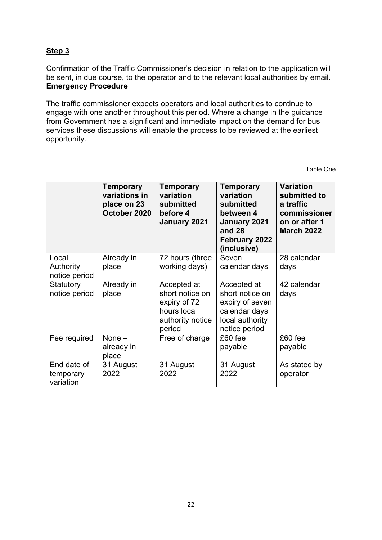# **Step 3**

Confirmation of the Traffic Commissioner's decision in relation to the application will be sent, in due course, to the operator and to the relevant local authorities by email. **Emergency Procedure**

The traffic commissioner expects operators and local authorities to continue to engage with one another throughout this period. Where a change in the guidance from Government has a significant and immediate impact on the demand for bus services these discussions will enable the process to be reviewed at the earliest opportunity.

Table One

|                                       | Temporary<br>variations in<br>place on 23<br>October 2020 | <b>Temporary</b><br>variation<br>submitted<br>before 4<br>January 2021                      | <b>Temporary</b><br>variation<br>submitted<br>between 4<br>January 2021<br>and 28<br>February 2022<br>(inclusive) | <b>Variation</b><br>submitted to<br>a traffic<br>commissioner<br>on or after 1<br><b>March 2022</b> |
|---------------------------------------|-----------------------------------------------------------|---------------------------------------------------------------------------------------------|-------------------------------------------------------------------------------------------------------------------|-----------------------------------------------------------------------------------------------------|
| Local<br>Authority<br>notice period   | Already in<br>place                                       | 72 hours (three<br>working days)                                                            | Seven<br>calendar days                                                                                            | 28 calendar<br>days                                                                                 |
| Statutory<br>notice period            | Already in<br>place                                       | Accepted at<br>short notice on<br>expiry of 72<br>hours local<br>authority notice<br>period | Accepted at<br>short notice on<br>expiry of seven<br>calendar days<br>local authority<br>notice period            | 42 calendar<br>days                                                                                 |
| Fee required                          | None $-$<br>already in<br>place                           | Free of charge                                                                              | £60 fee<br>payable                                                                                                | £60 fee<br>payable                                                                                  |
| End date of<br>temporary<br>variation | 31 August<br>2022                                         | 31 August<br>2022                                                                           | 31 August<br>2022                                                                                                 | As stated by<br>operator                                                                            |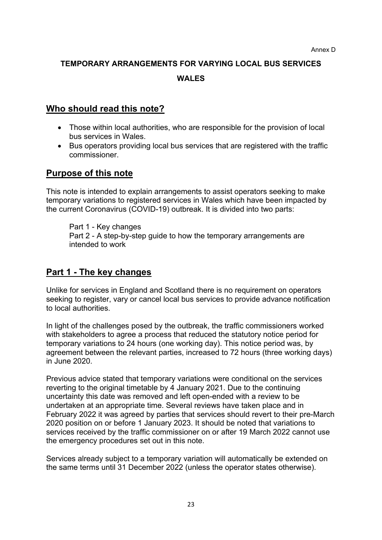# **TEMPORARY ARRANGEMENTS FOR VARYING LOCAL BUS SERVICES WALES**

# **Who should read this note?**

- Those within local authorities, who are responsible for the provision of local bus services in Wales.
- Bus operators providing local bus services that are registered with the traffic commissioner.

# **Purpose of this note**

This note is intended to explain arrangements to assist operators seeking to make temporary variations to registered services in Wales which have been impacted by the current Coronavirus (COVID-19) outbreak. It is divided into two parts:

Part 1 - Key changes Part 2 - A step-by-step guide to how the temporary arrangements are intended to work

# **Part 1 - The key changes**

Unlike for services in England and Scotland there is no requirement on operators seeking to register, vary or cancel local bus services to provide advance notification to local authorities.

In light of the challenges posed by the outbreak, the traffic commissioners worked with stakeholders to agree a process that reduced the statutory notice period for temporary variations to 24 hours (one working day). This notice period was, by agreement between the relevant parties, increased to 72 hours (three working days) in June 2020.

Previous advice stated that temporary variations were conditional on the services reverting to the original timetable by 4 January 2021. Due to the continuing uncertainty this date was removed and left open-ended with a review to be undertaken at an appropriate time. Several reviews have taken place and in February 2022 it was agreed by parties that services should revert to their pre-March 2020 position on or before 1 January 2023. It should be noted that variations to services received by the traffic commissioner on or after 19 March 2022 cannot use the emergency procedures set out in this note.

Services already subject to a temporary variation will automatically be extended on the same terms until 31 December 2022 (unless the operator states otherwise).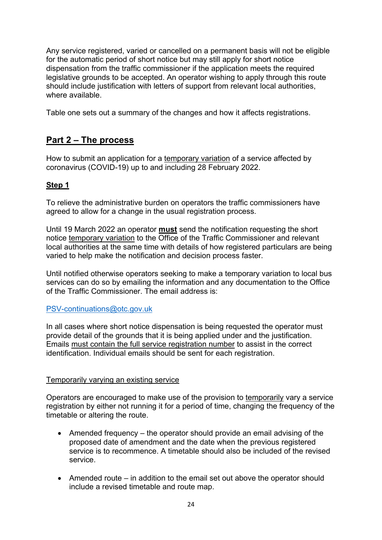Any service registered, varied or cancelled on a permanent basis will not be eligible for the automatic period of short notice but may still apply for short notice dispensation from the traffic commissioner if the application meets the required legislative grounds to be accepted. An operator wishing to apply through this route should include justification with letters of support from relevant local authorities, where available.

Table one sets out a summary of the changes and how it affects registrations.

# **Part 2 – The process**

How to submit an application for a temporary variation of a service affected by coronavirus (COVID-19) up to and including 28 February 2022.

# **Step 1**

To relieve the administrative burden on operators the traffic commissioners have agreed to allow for a change in the usual registration process.

Until 19 March 2022 an operator **must** send the notification requesting the short notice temporary variation to the Office of the Traffic Commissioner and relevant local authorities at the same time with details of how registered particulars are being varied to help make the notification and decision process faster.

Until notified otherwise operators seeking to make a temporary variation to local bus services can do so by emailing the information and any documentation to the Office of the Traffic Commissioner. The email address is:

#### [PSV-continuations@otc.gov.uk](mailto:PSV-continuations@otc.gov.uk)

In all cases where short notice dispensation is being requested the operator must provide detail of the grounds that it is being applied under and the justification. Emails must contain the full service registration number to assist in the correct identification. Individual emails should be sent for each registration.

### Temporarily varying an existing service

Operators are encouraged to make use of the provision to temporarily vary a service registration by either not running it for a period of time, changing the frequency of the timetable or altering the route.

- Amended frequency the operator should provide an email advising of the proposed date of amendment and the date when the previous registered service is to recommence. A timetable should also be included of the revised service.
- Amended route in addition to the email set out above the operator should include a revised timetable and route map.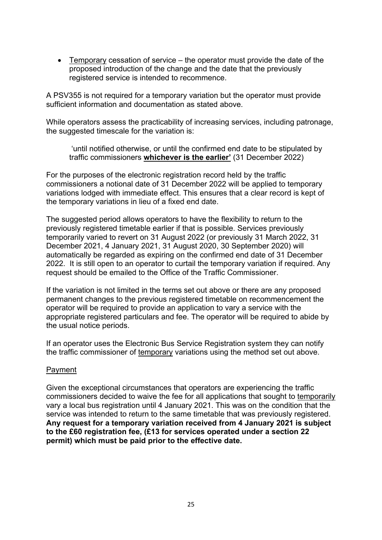• Temporary cessation of service – the operator must provide the date of the proposed introduction of the change and the date that the previously registered service is intended to recommence.

A PSV355 is not required for a temporary variation but the operator must provide sufficient information and documentation as stated above.

While operators assess the practicability of increasing services, including patronage, the suggested timescale for the variation is:

'until notified otherwise, or until the confirmed end date to be stipulated by traffic commissioners **whichever is the earlier'** (31 December 2022)

For the purposes of the electronic registration record held by the traffic commissioners a notional date of 31 December 2022 will be applied to temporary variations lodged with immediate effect. This ensures that a clear record is kept of the temporary variations in lieu of a fixed end date.

The suggested period allows operators to have the flexibility to return to the previously registered timetable earlier if that is possible. Services previously temporarily varied to revert on 31 August 2022 (or previously 31 March 2022, 31 December 2021, 4 January 2021, 31 August 2020, 30 September 2020) will automatically be regarded as expiring on the confirmed end date of 31 December 2022. It is still open to an operator to curtail the temporary variation if required. Any request should be emailed to the Office of the Traffic Commissioner.

If the variation is not limited in the terms set out above or there are any proposed permanent changes to the previous registered timetable on recommencement the operator will be required to provide an application to vary a service with the appropriate registered particulars and fee. The operator will be required to abide by the usual notice periods.

If an operator uses the Electronic Bus Service Registration system they can notify the traffic commissioner of temporary variations using the method set out above.

#### Payment

Given the exceptional circumstances that operators are experiencing the traffic commissioners decided to waive the fee for all applications that sought to temporarily vary a local bus registration until 4 January 2021. This was on the condition that the service was intended to return to the same timetable that was previously registered. **Any request for a temporary variation received from 4 January 2021 is subject to the £60 registration fee, (£13 for services operated under a section 22 permit) which must be paid prior to the effective date.**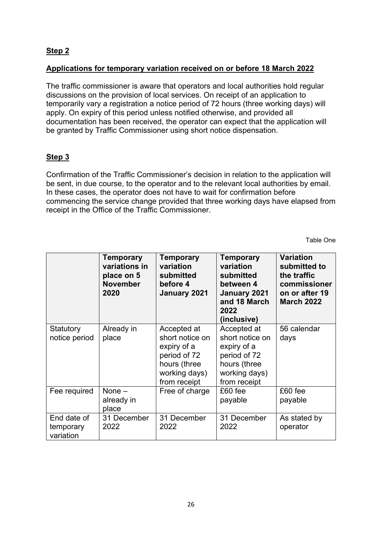# **Step 2**

### **Applications for temporary variation received on or before 18 March 2022**

The traffic commissioner is aware that operators and local authorities hold regular discussions on the provision of local services. On receipt of an application to temporarily vary a registration a notice period of 72 hours (three working days) will apply. On expiry of this period unless notified otherwise, and provided all documentation has been received, the operator can expect that the application will be granted by Traffic Commissioner using short notice dispensation.

# **Step 3**

Confirmation of the Traffic Commissioner's decision in relation to the application will be sent, in due course, to the operator and to the relevant local authorities by email. In these cases, the operator does not have to wait for confirmation before commencing the service change provided that three working days have elapsed from receipt in the Office of the Traffic Commissioner.

Table One

|                                       | Temporary<br>variations in<br>place on 5<br><b>November</b><br>2020 | Temporary<br>variation<br>submitted<br>before 4<br>January 2021                                                | <b>Temporary</b><br>variation<br>submitted<br>between 4<br>January 2021<br>and 18 March<br>2022<br>(inclusive) | <b>Variation</b><br>submitted to<br>the traffic<br>commissioner<br>on or after 19<br><b>March 2022</b> |
|---------------------------------------|---------------------------------------------------------------------|----------------------------------------------------------------------------------------------------------------|----------------------------------------------------------------------------------------------------------------|--------------------------------------------------------------------------------------------------------|
| Statutory<br>notice period            | Already in<br>place                                                 | Accepted at<br>short notice on<br>expiry of a<br>period of 72<br>hours (three<br>working days)<br>from receipt | Accepted at<br>short notice on<br>expiry of a<br>period of 72<br>hours (three<br>working days)<br>from receipt | 56 calendar<br>days                                                                                    |
| Fee required                          | None $-$<br>already in<br>place                                     | Free of charge                                                                                                 | £60 fee<br>payable                                                                                             | £60 fee<br>payable                                                                                     |
| End date of<br>temporary<br>variation | 31 December<br>2022                                                 | 31 December<br>2022                                                                                            | 31 December<br>2022                                                                                            | As stated by<br>operator                                                                               |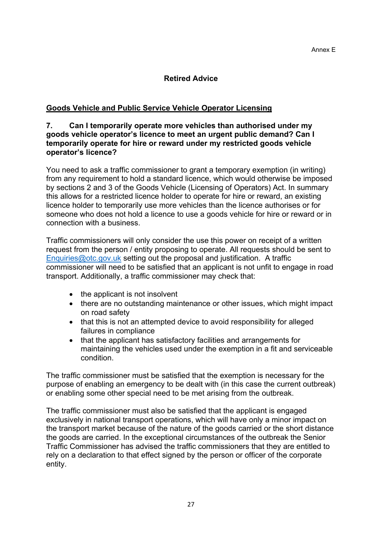### **Retired Advice**

### **Goods Vehicle and Public Service Vehicle Operator Licensing**

#### **7. Can I temporarily operate more vehicles than authorised under my goods vehicle operator's licence to meet an urgent public demand? Can I temporarily operate for hire or reward under my restricted goods vehicle operator's licence?**

You need to ask a traffic commissioner to grant a temporary exemption (in writing) from any requirement to hold a standard licence, which would otherwise be imposed by sections 2 and 3 of the Goods Vehicle (Licensing of Operators) Act. In summary this allows for a restricted licence holder to operate for hire or reward, an existing licence holder to temporarily use more vehicles than the licence authorises or for someone who does not hold a licence to use a goods vehicle for hire or reward or in connection with a business.

Traffic commissioners will only consider the use this power on receipt of a written request from the person / entity proposing to operate. All requests should be sent to [Enquiries@otc.gov.uk](mailto:Enquiries@otc.gov.uk) setting out the proposal and justification. A traffic commissioner will need to be satisfied that an applicant is not unfit to engage in road transport. Additionally, a traffic commissioner may check that:

- the applicant is not insolvent
- there are no outstanding maintenance or other issues, which might impact on road safety
- that this is not an attempted device to avoid responsibility for alleged failures in compliance
- that the applicant has satisfactory facilities and arrangements for maintaining the vehicles used under the exemption in a fit and serviceable condition.

The traffic commissioner must be satisfied that the exemption is necessary for the purpose of enabling an emergency to be dealt with (in this case the current outbreak) or enabling some other special need to be met arising from the outbreak.

The traffic commissioner must also be satisfied that the applicant is engaged exclusively in national transport operations, which will have only a minor impact on the transport market because of the nature of the goods carried or the short distance the goods are carried. In the exceptional circumstances of the outbreak the Senior Traffic Commissioner has advised the traffic commissioners that they are entitled to rely on a declaration to that effect signed by the person or officer of the corporate entity.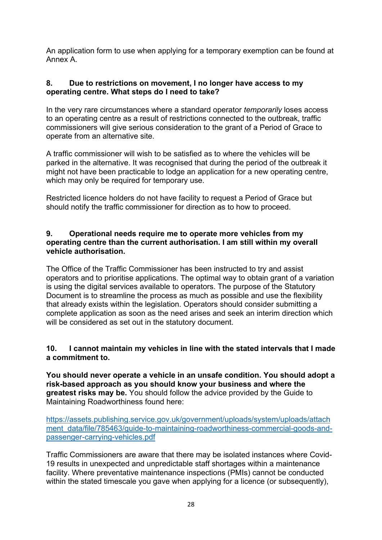An application form to use when applying for a temporary exemption can be found at Annex A.

### **8. Due to restrictions on movement, I no longer have access to my operating centre. What steps do I need to take?**

In the very rare circumstances where a standard operator *temporarily* loses access to an operating centre as a result of restrictions connected to the outbreak, traffic commissioners will give serious consideration to the grant of a Period of Grace to operate from an alternative site.

A traffic commissioner will wish to be satisfied as to where the vehicles will be parked in the alternative. It was recognised that during the period of the outbreak it might not have been practicable to lodge an application for a new operating centre, which may only be required for temporary use.

Restricted licence holders do not have facility to request a Period of Grace but should notify the traffic commissioner for direction as to how to proceed.

### **9. Operational needs require me to operate more vehicles from my operating centre than the current authorisation. I am still within my overall vehicle authorisation.**

The Office of the Traffic Commissioner has been instructed to try and assist operators and to prioritise applications. The optimal way to obtain grant of a variation is using the digital services available to operators. The purpose of the Statutory Document is to streamline the process as much as possible and use the flexibility that already exists within the legislation. Operators should consider submitting a complete application as soon as the need arises and seek an interim direction which will be considered as set out in the statutory document.

#### **10. I cannot maintain my vehicles in line with the stated intervals that I made a commitment to.**

**You should never operate a vehicle in an unsafe condition. You should adopt a risk-based approach as you should know your business and where the greatest risks may be.** You should follow the advice provided by the Guide to Maintaining Roadworthiness found here:

[https://assets.publishing.service.gov.uk/government/uploads/system/uploads/attach](https://assets.publishing.service.gov.uk/government/uploads/system/uploads/attachment_data/file/785463/guide-to-maintaining-roadworthiness-commercial-goods-and-passenger-carrying-vehicles.pdf) ment\_data/file/785463/quide-to-maintaining-roadworthiness-commercial-goods-and[passenger-carrying-vehicles.pdf](https://assets.publishing.service.gov.uk/government/uploads/system/uploads/attachment_data/file/785463/guide-to-maintaining-roadworthiness-commercial-goods-and-passenger-carrying-vehicles.pdf)

Traffic Commissioners are aware that there may be isolated instances where Covid-19 results in unexpected and unpredictable staff shortages within a maintenance facility. Where preventative maintenance inspections (PMIs) cannot be conducted within the stated timescale you gave when applying for a licence (or subsequently),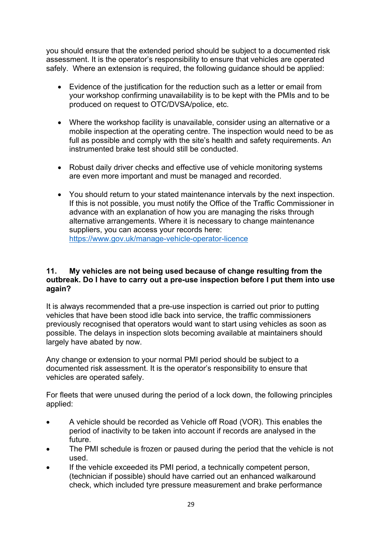you should ensure that the extended period should be subject to a documented risk assessment. It is the operator's responsibility to ensure that vehicles are operated safely. Where an extension is required, the following guidance should be applied:

- Evidence of the justification for the reduction such as a letter or email from your workshop confirming unavailability is to be kept with the PMIs and to be produced on request to OTC/DVSA/police, etc.
- Where the workshop facility is unavailable, consider using an alternative or a mobile inspection at the operating centre. The inspection would need to be as full as possible and comply with the site's health and safety requirements. An instrumented brake test should still be conducted.
- Robust daily driver checks and effective use of vehicle monitoring systems are even more important and must be managed and recorded.
- You should return to your stated maintenance intervals by the next inspection. If this is not possible, you must notify the Office of the Traffic Commissioner in advance with an explanation of how you are managing the risks through alternative arrangements. Where it is necessary to change maintenance suppliers, you can access your records here: <https://www.gov.uk/manage-vehicle-operator-licence>

### **11. My vehicles are not being used because of change resulting from the outbreak. Do I have to carry out a pre-use inspection before I put them into use again?**

It is always recommended that a pre-use inspection is carried out prior to putting vehicles that have been stood idle back into service, the traffic commissioners previously recognised that operators would want to start using vehicles as soon as possible. The delays in inspection slots becoming available at maintainers should largely have abated by now.

Any change or extension to your normal PMI period should be subject to a documented risk assessment. It is the operator's responsibility to ensure that vehicles are operated safely.

For fleets that were unused during the period of a lock down, the following principles applied:

- A vehicle should be recorded as Vehicle off Road (VOR). This enables the period of inactivity to be taken into account if records are analysed in the future.
- The PMI schedule is frozen or paused during the period that the vehicle is not used.
- If the vehicle exceeded its PMI period, a technically competent person, (technician if possible) should have carried out an enhanced walkaround check, which included tyre pressure measurement and brake performance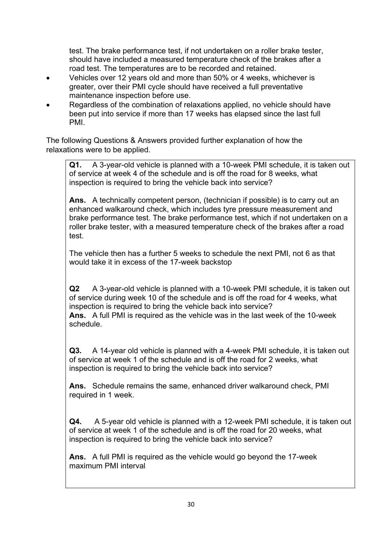test. The brake performance test, if not undertaken on a roller brake tester, should have included a measured temperature check of the brakes after a road test. The temperatures are to be recorded and retained.

- Vehicles over 12 years old and more than 50% or 4 weeks, whichever is greater, over their PMI cycle should have received a full preventative maintenance inspection before use.
- Regardless of the combination of relaxations applied, no vehicle should have been put into service if more than 17 weeks has elapsed since the last full PMI.

The following Questions & Answers provided further explanation of how the relaxations were to be applied.

**Q1.** A 3-year-old vehicle is planned with a 10-week PMI schedule, it is taken out of service at week 4 of the schedule and is off the road for 8 weeks, what inspection is required to bring the vehicle back into service?

**Ans.** A technically competent person, (technician if possible) is to carry out an enhanced walkaround check, which includes tyre pressure measurement and brake performance test. The brake performance test, which if not undertaken on a roller brake tester, with a measured temperature check of the brakes after a road test.

The vehicle then has a further 5 weeks to schedule the next PMI, not 6 as that would take it in excess of the 17-week backstop

**Q2** A 3-year-old vehicle is planned with a 10-week PMI schedule, it is taken out of service during week 10 of the schedule and is off the road for 4 weeks, what inspection is required to bring the vehicle back into service? **Ans.** A full PMI is required as the vehicle was in the last week of the 10-week schedule.

**Q3.** A 14-year old vehicle is planned with a 4-week PMI schedule, it is taken out of service at week 1 of the schedule and is off the road for 2 weeks, what inspection is required to bring the vehicle back into service?

**Ans.** Schedule remains the same, enhanced driver walkaround check, PMI required in 1 week.

**Q4.** A 5-year old vehicle is planned with a 12-week PMI schedule, it is taken out of service at week 1 of the schedule and is off the road for 20 weeks, what inspection is required to bring the vehicle back into service?

**Ans.** A full PMI is required as the vehicle would go beyond the 17-week maximum PMI interval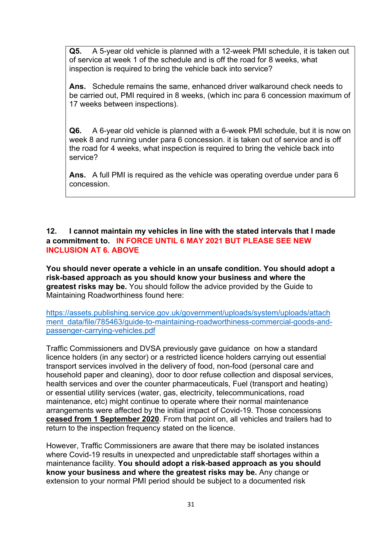**Q5.** A 5-year old vehicle is planned with a 12-week PMI schedule, it is taken out of service at week 1 of the schedule and is off the road for 8 weeks, what inspection is required to bring the vehicle back into service?

**Ans.** Schedule remains the same, enhanced driver walkaround check needs to be carried out, PMI required in 8 weeks, (which inc para 6 concession maximum of 17 weeks between inspections).

**Q6.** A 6-year old vehicle is planned with a 6-week PMI schedule, but it is now on week 8 and running under para 6 concession. it is taken out of service and is off the road for 4 weeks, what inspection is required to bring the vehicle back into service?

**Ans.** A full PMI is required as the vehicle was operating overdue under para 6 concession.

### **12. I cannot maintain my vehicles in line with the stated intervals that I made a commitment to. IN FORCE UNTIL 6 MAY 2021 BUT PLEASE SEE NEW INCLUSION AT 6. ABOVE**

**You should never operate a vehicle in an unsafe condition. You should adopt a risk-based approach as you should know your business and where the greatest risks may be.** You should follow the advice provided by the Guide to Maintaining Roadworthiness found here:

[https://assets.publishing.service.gov.uk/government/uploads/system/uploads/attach](https://assets.publishing.service.gov.uk/government/uploads/system/uploads/attachment_data/file/785463/guide-to-maintaining-roadworthiness-commercial-goods-and-passenger-carrying-vehicles.pdf) ment\_data/file/785463/quide-to-maintaining-roadworthiness-commercial-goods-and[passenger-carrying-vehicles.pdf](https://assets.publishing.service.gov.uk/government/uploads/system/uploads/attachment_data/file/785463/guide-to-maintaining-roadworthiness-commercial-goods-and-passenger-carrying-vehicles.pdf)

Traffic Commissioners and DVSA previously gave guidance on how a standard licence holders (in any sector) or a restricted licence holders carrying out essential transport services involved in the delivery of food, non-food (personal care and household paper and cleaning), door to door refuse collection and disposal services, health services and over the counter pharmaceuticals, Fuel (transport and heating) or essential utility services (water, gas, electricity, telecommunications, road maintenance, etc) might continue to operate where their normal maintenance arrangements were affected by the initial impact of Covid-19. Those concessions **ceased from 1 September 2020**. From that point on, all vehicles and trailers had to return to the inspection frequency stated on the licence.

However, Traffic Commissioners are aware that there may be isolated instances where Covid-19 results in unexpected and unpredictable staff shortages within a maintenance facility. **You should adopt a risk-based approach as you should know your business and where the greatest risks may be.** Any change or extension to your normal PMI period should be subject to a documented risk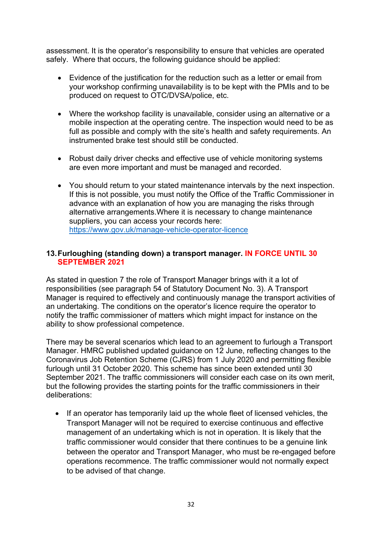assessment. It is the operator's responsibility to ensure that vehicles are operated safely. Where that occurs, the following guidance should be applied:

- Evidence of the justification for the reduction such as a letter or email from your workshop confirming unavailability is to be kept with the PMIs and to be produced on request to OTC/DVSA/police, etc.
- Where the workshop facility is unavailable, consider using an alternative or a mobile inspection at the operating centre. The inspection would need to be as full as possible and comply with the site's health and safety requirements. An instrumented brake test should still be conducted.
- Robust daily driver checks and effective use of vehicle monitoring systems are even more important and must be managed and recorded.
- You should return to your stated maintenance intervals by the next inspection. If this is not possible, you must notify the Office of the Traffic Commissioner in advance with an explanation of how you are managing the risks through alternative arrangements.Where it is necessary to change maintenance suppliers, you can access your records here: <https://www.gov.uk/manage-vehicle-operator-licence>

#### **13.Furloughing (standing down) a transport manager. IN FORCE UNTIL 30 SEPTEMBER 2021**

As stated in question 7 the role of Transport Manager brings with it a lot of responsibilities (see paragraph 54 of Statutory Document No. 3). A Transport Manager is required to effectively and continuously manage the transport activities of an undertaking. The conditions on the operator's licence require the operator to notify the traffic commissioner of matters which might impact for instance on the ability to show professional competence.

There may be several scenarios which lead to an agreement to furlough a Transport Manager. HMRC published updated guidance on 12 June, reflecting changes to the Coronavirus Job Retention Scheme (CJRS) from 1 July 2020 and permitting flexible furlough until 31 October 2020. This scheme has since been extended until 30 September 2021. The traffic commissioners will consider each case on its own merit, but the following provides the starting points for the traffic commissioners in their deliberations:

• If an operator has temporarily laid up the whole fleet of licensed vehicles, the Transport Manager will not be required to exercise continuous and effective management of an undertaking which is not in operation. It is likely that the traffic commissioner would consider that there continues to be a genuine link between the operator and Transport Manager, who must be re-engaged before operations recommence. The traffic commissioner would not normally expect to be advised of that change.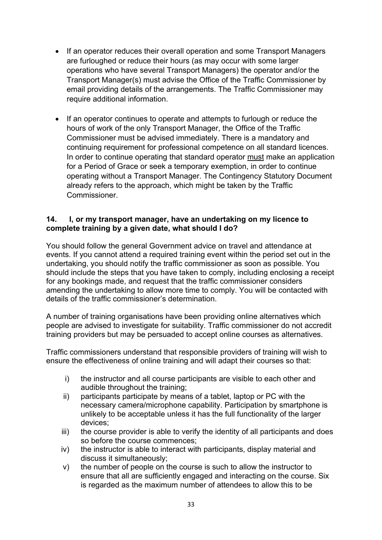- If an operator reduces their overall operation and some Transport Managers are furloughed or reduce their hours (as may occur with some larger operations who have several Transport Managers) the operator and/or the Transport Manager(s) must advise the Office of the Traffic Commissioner by email providing details of the arrangements. The Traffic Commissioner may require additional information.
- If an operator continues to operate and attempts to furlough or reduce the hours of work of the only Transport Manager, the Office of the Traffic Commissioner must be advised immediately. There is a mandatory and continuing requirement for professional competence on all standard licences. In order to continue operating that standard operator must make an application for a Period of Grace or seek a temporary exemption, in order to continue operating without a Transport Manager. The Contingency Statutory Document already refers to the approach, which might be taken by the Traffic **Commissioner**

### **14. I, or my transport manager, have an undertaking on my licence to complete training by a given date, what should I do?**

You should follow the general Government advice on travel and attendance at events. If you cannot attend a required training event within the period set out in the undertaking, you should notify the traffic commissioner as soon as possible. You should include the steps that you have taken to comply, including enclosing a receipt for any bookings made, and request that the traffic commissioner considers amending the undertaking to allow more time to comply. You will be contacted with details of the traffic commissioner's determination.

A number of training organisations have been providing online alternatives which people are advised to investigate for suitability. Traffic commissioner do not accredit training providers but may be persuaded to accept online courses as alternatives.

Traffic commissioners understand that responsible providers of training will wish to ensure the effectiveness of online training and will adapt their courses so that:

- i) the instructor and all course participants are visible to each other and audible throughout the training;
- ii) participants participate by means of a tablet, laptop or PC with the necessary camera/microphone capability. Participation by smartphone is unlikely to be acceptable unless it has the full functionality of the larger devices;
- iii) the course provider is able to verify the identity of all participants and does so before the course commences;
- iv) the instructor is able to interact with participants, display material and discuss it simultaneously;
- v) the number of people on the course is such to allow the instructor to ensure that all are sufficiently engaged and interacting on the course. Six is regarded as the maximum number of attendees to allow this to be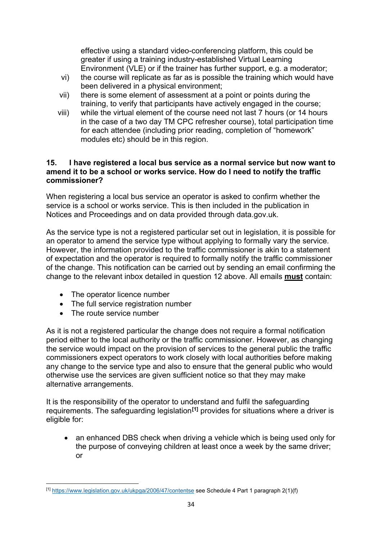effective using a standard video-conferencing platform, this could be greater if using a training industry-established Virtual Learning Environment (VLE) or if the trainer has further support, e.g. a moderator;

- vi) the course will replicate as far as is possible the training which would have been delivered in a physical environment;
- vii) there is some element of assessment at a point or points during the training, to verify that participants have actively engaged in the course;
- viii) while the virtual element of the course need not last 7 hours (or 14 hours in the case of a two day TM CPC refresher course), total participation time for each attendee (including prior reading, completion of "homework" modules etc) should be in this region.

#### **15. I have registered a local bus service as a normal service but now want to amend it to be a school or works service. How do I need to notify the traffic commissioner?**

When registering a local bus service an operator is asked to confirm whether the service is a school or works service. This is then included in the publication in Notices and Proceedings and on data provided through data.gov.uk.

As the service type is not a registered particular set out in legislation, it is possible for an operator to amend the service type without applying to formally vary the service. However, the information provided to the traffic commissioner is akin to a statement of expectation and the operator is required to formally notify the traffic commissioner of the change. This notification can be carried out by sending an email confirming the change to the relevant inbox detailed in question 12 above. All emails **must** contain:

- The operator licence number
- The full service registration number
- The route service number

As it is not a registered particular the change does not require a formal notification period either to the local authority or the traffic commissioner. However, as changing the service would impact on the provision of services to the general public the traffic commissioners expect operators to work closely with local authorities before making any change to the service type and also to ensure that the general public who would otherwise use the services are given sufficient notice so that they may make alternative arrangements.

It is the responsibility of the operator to understand and fulfil the safeguarding requirements. The safeguarding legislation**[\[1\]](#page-33-0)** provides for situations where a driver is eligible for:

an enhanced DBS check when driving a vehicle which is being used only for the purpose of conveying children at least once a week by the same driver; or

<span id="page-33-0"></span><sup>[1]</sup> <https://www.legislation.gov.uk/ukpga/2006/47/contentse> see Schedule 4 Part 1 paragraph 2(1)(f)